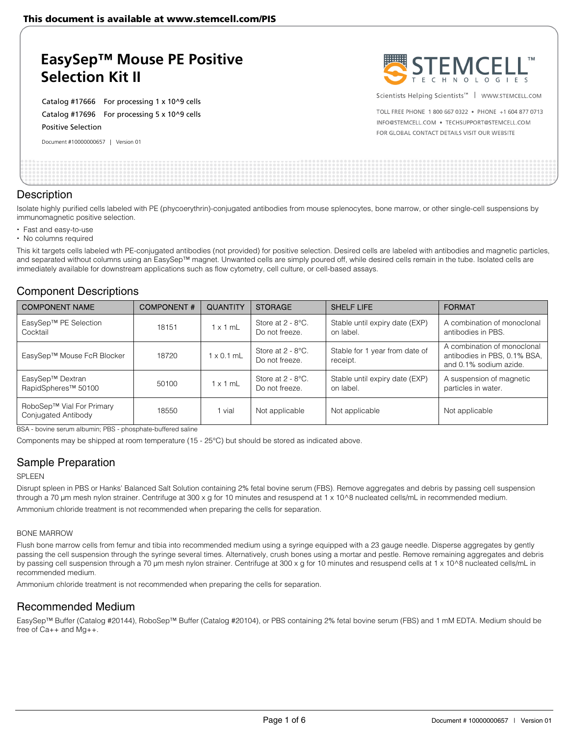# **EasySep™ Mouse PE Positive Selection Kit II**

Catalog #17666 For processing 1 x 10^9 cells Catalog #17696 For processing 5 x 10^9 cells Positive Selection

Document #10000000657 | Version 01



Scientists Helping Scientists<sup>™</sup> | WWW.STEMCELL.COM

TOLL FREE PHONE 1 800 667 0322 . PHONE +1 604 877 0713 INFO@STEMCELL.COM . TECHSUPPORT@STEMCELL.COM FOR GLOBAL CONTACT DETAILS VISIT OUR WEBSITE

## **Description**

Isolate highly purified cells labeled with PE (phycoerythrin)-conjugated antibodies from mouse splenocytes, bone marrow, or other single-cell suspensions by immunomagnetic positive selection.

- Fast and easy-to-use
- No columns required

This kit targets cells labeled wth PE-conjugated antibodies (not provided) for positive selection. Desired cells are labeled with antibodies and magnetic particles, and separated without columns using an EasySep™ magnet. Unwanted cells are simply poured off, while desired cells remain in the tube. Isolated cells are immediately available for downstream applications such as flow cytometry, cell culture, or cell-based assays.

## Component Descriptions

| <b>COMPONENT NAME</b>                               | <b>COMPONENT#</b> | <b>QUANTITY</b>   | <b>STORAGE</b>                         | <b>SHELF LIFE</b>                           | <b>FORMAT</b>                                                                         |
|-----------------------------------------------------|-------------------|-------------------|----------------------------------------|---------------------------------------------|---------------------------------------------------------------------------------------|
| EasySep™ PE Selection<br>Cocktail                   | 18151             | $1 \times 1$ mL   | Store at $2 - 8$ °C.<br>Do not freeze. | Stable until expiry date (EXP)<br>on label. | A combination of monoclonal<br>antibodies in PBS.                                     |
| EasySep™ Mouse FcR Blocker                          | 18720             | $1 \times 0.1$ mL | Store at $2 - 8$ °C.<br>Do not freeze. | Stable for 1 year from date of<br>receipt.  | A combination of monoclonal<br>antibodies in PBS, 0.1% BSA,<br>and 0.1% sodium azide. |
| EasySep™ Dextran<br>RapidSpheres <sup>™</sup> 50100 | 50100             | $1 \times 1$ mL   | Store at $2 - 8$ °C.<br>Do not freeze. | Stable until expiry date (EXP)<br>on label. | A suspension of magnetic<br>particles in water.                                       |
| RoboSep™ Vial For Primary<br>Conjugated Antibody    | 18550             | 1 vial            | Not applicable                         | Not applicable                              | Not applicable                                                                        |

BSA - bovine serum albumin; PBS - phosphate-buffered saline

Components may be shipped at room temperature (15 - 25°C) but should be stored as indicated above.

## Sample Preparation

#### SPLEEN

Disrupt spleen in PBS or Hanks' Balanced Salt Solution containing 2% fetal bovine serum (FBS). Remove aggregates and debris by passing cell suspension through a 70 µm mesh nylon strainer. Centrifuge at 300 x g for 10 minutes and resuspend at 1 x 10^8 nucleated cells/mL in recommended medium. Ammonium chloride treatment is not recommended when preparing the cells for separation.

#### BONE MARROW

Flush bone marrow cells from femur and tibia into recommended medium using a syringe equipped with a 23 gauge needle. Disperse aggregates by gently passing the cell suspension through the syringe several times. Alternatively, crush bones using a mortar and pestle. Remove remaining aggregates and debris by passing cell suspension through a 70 μm mesh nylon strainer. Centrifuge at 300 x g for 10 minutes and resuspend cells at 1 x 10^8 nucleated cells/mL in recommended medium.

Ammonium chloride treatment is not recommended when preparing the cells for separation.

## Recommended Medium

EasySep™ Buffer (Catalog #20144), RoboSep™ Buffer (Catalog #20104), or PBS containing 2% fetal bovine serum (FBS) and 1 mM EDTA. Medium should be free of Ca++ and Mg++.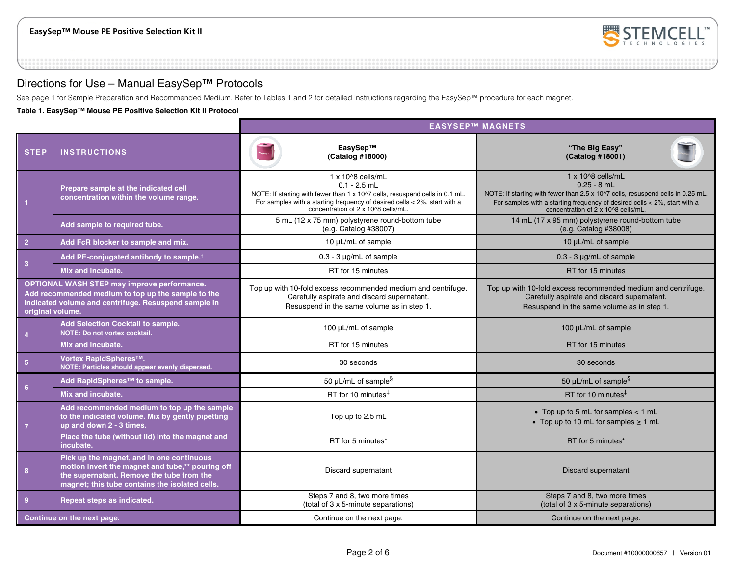

## Directions for Use – Manual EasySep™ Protocols

See page 1 for Sample Preparation and Recommended Medium. Refer to Tables 1 and 2 for detailed instructions regarding the EasySep™ procedure for each magnet.

**Table 1. EasySep™ Mouse PE Positive Selection Kit II Protocol** 

|                                                                                                                                                                                      |                                                                                                                                                                                              | <b>EASYSEP™ MAGNETS</b>                                                                                                                                                                                                                 |                                                                                                                                                                                                                                                      |  |
|--------------------------------------------------------------------------------------------------------------------------------------------------------------------------------------|----------------------------------------------------------------------------------------------------------------------------------------------------------------------------------------------|-----------------------------------------------------------------------------------------------------------------------------------------------------------------------------------------------------------------------------------------|------------------------------------------------------------------------------------------------------------------------------------------------------------------------------------------------------------------------------------------------------|--|
| <b>STEP</b>                                                                                                                                                                          | <b>INSTRUCTIONS</b>                                                                                                                                                                          | EasySep™<br>(Catalog #18000)                                                                                                                                                                                                            | "The Big Easy"<br>(Catalog #18001)                                                                                                                                                                                                                   |  |
|                                                                                                                                                                                      | Prepare sample at the indicated cell<br>concentration within the volume range.                                                                                                               | 1 x 10^8 cells/mL<br>$0.1 - 2.5$ mL<br>NOTE: If starting with fewer than 1 x 10^7 cells, resuspend cells in 0.1 mL.<br>For samples with a starting frequency of desired cells < 2%, start with a<br>concentration of 2 x 10^8 cells/mL. | $1 \times 10^{8}$ cells/mL<br>$0.25 - 8$ mL<br>NOTE: If starting with fewer than 2.5 x 10^7 cells, resuspend cells in 0.25 mL.<br>For samples with a starting frequency of desired cells $<$ 2%, start with a<br>concentration of 2 x 10^8 cells/mL. |  |
|                                                                                                                                                                                      | Add sample to required tube.                                                                                                                                                                 | 5 mL (12 x 75 mm) polystyrene round-bottom tube<br>(e.g. Catalog #38007)                                                                                                                                                                | 14 mL (17 x 95 mm) polystyrene round-bottom tube<br>(e.g. Catalog #38008)                                                                                                                                                                            |  |
| $\overline{2}$                                                                                                                                                                       | Add FcR blocker to sample and mix.                                                                                                                                                           | 10 µL/mL of sample                                                                                                                                                                                                                      | 10 µL/mL of sample                                                                                                                                                                                                                                   |  |
|                                                                                                                                                                                      | Add PE-conjugated antibody to sample. <sup>†</sup>                                                                                                                                           | $0.3 - 3$ µg/mL of sample                                                                                                                                                                                                               | $0.3 - 3$ µg/mL of sample                                                                                                                                                                                                                            |  |
| 3                                                                                                                                                                                    | Mix and incubate.                                                                                                                                                                            | RT for 15 minutes                                                                                                                                                                                                                       | RT for 15 minutes                                                                                                                                                                                                                                    |  |
| <b>OPTIONAL WASH STEP may improve performance.</b><br>Add recommended medium to top up the sample to the<br>indicated volume and centrifuge. Resuspend sample in<br>original volume. |                                                                                                                                                                                              | Top up with 10-fold excess recommended medium and centrifuge.<br>Carefully aspirate and discard supernatant.<br>Resuspend in the same volume as in step 1.                                                                              | Top up with 10-fold excess recommended medium and centrifuge.<br>Carefully aspirate and discard supernatant.<br>Resuspend in the same volume as in step 1.                                                                                           |  |
| $\overline{4}$                                                                                                                                                                       | Add Selection Cocktail to sample.<br>NOTE: Do not vortex cocktail.                                                                                                                           | 100 µL/mL of sample                                                                                                                                                                                                                     | 100 µL/mL of sample                                                                                                                                                                                                                                  |  |
|                                                                                                                                                                                      | Mix and incubate.                                                                                                                                                                            | RT for 15 minutes                                                                                                                                                                                                                       | RT for 15 minutes                                                                                                                                                                                                                                    |  |
| 5 <sup>5</sup>                                                                                                                                                                       | Vortex RapidSpheres™.<br>NOTE: Particles should appear evenly dispersed.                                                                                                                     | 30 seconds                                                                                                                                                                                                                              | 30 seconds                                                                                                                                                                                                                                           |  |
| 6 <sup>1</sup>                                                                                                                                                                       | Add RapidSpheres™ to sample.                                                                                                                                                                 | 50 µL/mL of sample $§$                                                                                                                                                                                                                  | 50 $\mu$ L/mL of sample <sup>§</sup>                                                                                                                                                                                                                 |  |
|                                                                                                                                                                                      | Mix and incubate.                                                                                                                                                                            | RT for 10 minutes $‡$                                                                                                                                                                                                                   | RT for 10 minutes $‡$                                                                                                                                                                                                                                |  |
| $\overline{7}$                                                                                                                                                                       | Add recommended medium to top up the sample<br>to the indicated volume. Mix by gently pipetting<br>up and down 2 - 3 times.                                                                  | Top up to 2.5 mL                                                                                                                                                                                                                        | • Top up to 5 mL for samples $<$ 1 mL<br>• Top up to 10 mL for samples $\geq 1$ mL                                                                                                                                                                   |  |
|                                                                                                                                                                                      | Place the tube (without lid) into the magnet and<br>incubate.                                                                                                                                | RT for 5 minutes*                                                                                                                                                                                                                       | RT for 5 minutes*                                                                                                                                                                                                                                    |  |
| 8                                                                                                                                                                                    | Pick up the magnet, and in one continuous<br>motion invert the magnet and tube,** pouring off<br>the supernatant. Remove the tube from the<br>magnet; this tube contains the isolated cells. | Discard supernatant<br>Discard supernatant                                                                                                                                                                                              |                                                                                                                                                                                                                                                      |  |
| $\overline{9}$                                                                                                                                                                       | Repeat steps as indicated.                                                                                                                                                                   | Steps 7 and 8, two more times<br>(total of 3 x 5-minute separations)                                                                                                                                                                    | Steps 7 and 8, two more times<br>(total of 3 x 5-minute separations)                                                                                                                                                                                 |  |
|                                                                                                                                                                                      | Continue on the next page.                                                                                                                                                                   | Continue on the next page.                                                                                                                                                                                                              | Continue on the next page.                                                                                                                                                                                                                           |  |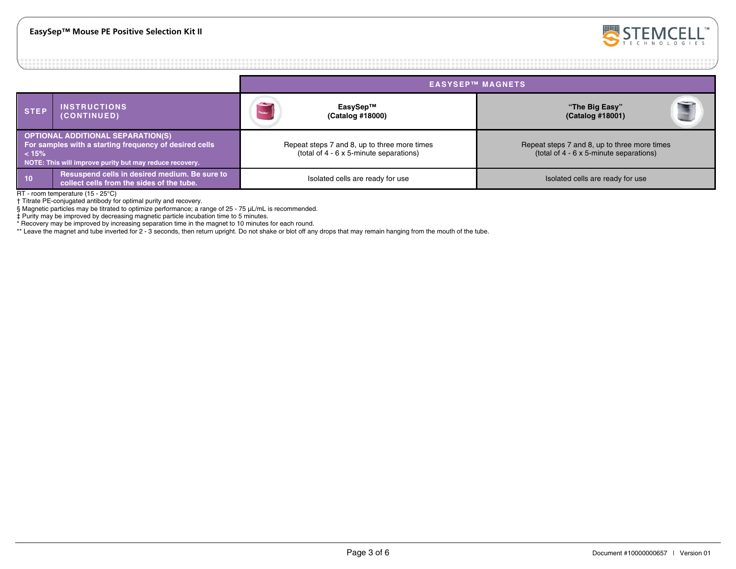

|                                                                                                                                                                        |                                                                                            | <b>EASYSEP™ MAGNETS</b>                                                                 |                                                                                         |  |
|------------------------------------------------------------------------------------------------------------------------------------------------------------------------|--------------------------------------------------------------------------------------------|-----------------------------------------------------------------------------------------|-----------------------------------------------------------------------------------------|--|
| <b>STEP</b>                                                                                                                                                            | <b>INSTRUCTIONS</b><br>(CONTINUED)                                                         | <b>Contract</b><br>EasySep™<br>(Catalog #18000)                                         | "The Big Easy"<br>(Catalog #18001)                                                      |  |
| <b>OPTIONAL ADDITIONAL SEPARATION(S)</b><br>For samples with a starting frequency of desired cells<br>< 15%<br>NOTE: This will improve purity but may reduce recovery. |                                                                                            | Repeat steps 7 and 8, up to three more times<br>(total of 4 - 6 x 5-minute separations) | Repeat steps 7 and 8, up to three more times<br>(total of 4 - 6 x 5-minute separations) |  |
| 10 <sup>°</sup>                                                                                                                                                        | Resuspend cells in desired medium. Be sure to<br>collect cells from the sides of the tube. | Isolated cells are ready for use                                                        | Isolated cells are ready for use                                                        |  |

RT - room temperature (15 - 25°C)

† Titrate PE-conjugated antibody for optimal purity and recovery.

§ Magnetic particles may be titrated to optimize performance; a range of 25 - 75 μL/mL is recommended.

‡ Purity may be improved by decreasing magnetic particle incubation time to 5 minutes.

\* Recovery may be improved by increasing separation time in the magnet to 10 minutes for each round.

\*\* Leave the magnet and tube inverted for 2 - 3 seconds, then return upright. Do not shake or blot off any drops that may remain hanging from the mouth of the tube.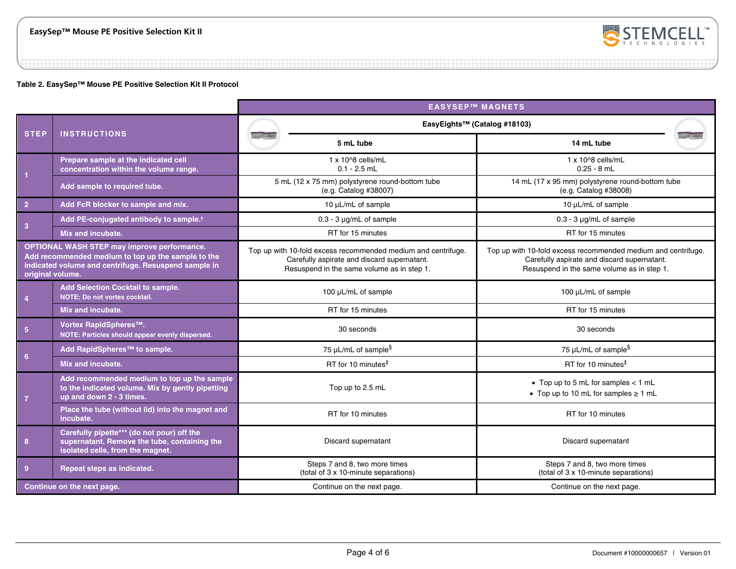

### **Table 2. EasySep™ Mouse PE Positive Selection Kit II Protocol**

|                                                                                                                                                                                      |                                                                                                                                | <b>EASYSEP™ MAGNETS</b>                                                                                                                                    |                                                                                                                                                            |  |  |
|--------------------------------------------------------------------------------------------------------------------------------------------------------------------------------------|--------------------------------------------------------------------------------------------------------------------------------|------------------------------------------------------------------------------------------------------------------------------------------------------------|------------------------------------------------------------------------------------------------------------------------------------------------------------|--|--|
|                                                                                                                                                                                      | <b>INSTRUCTIONS</b>                                                                                                            | EasyEights™ (Catalog #18103)                                                                                                                               |                                                                                                                                                            |  |  |
| <b>STEP</b>                                                                                                                                                                          |                                                                                                                                | 5 mL tube                                                                                                                                                  | 14 mL tube                                                                                                                                                 |  |  |
|                                                                                                                                                                                      | Prepare sample at the indicated cell<br>concentration within the volume range.                                                 | $1 \times 10^{6}$ cells/mL<br>$0.1 - 2.5$ mL                                                                                                               | 1 x 10^8 cells/mL<br>$0.25 - 8$ mL                                                                                                                         |  |  |
| $\overline{1}$                                                                                                                                                                       | Add sample to required tube.                                                                                                   | 5 mL (12 x 75 mm) polystyrene round-bottom tube<br>(e.g. Catalog #38007)                                                                                   | 14 mL (17 x 95 mm) polystyrene round-bottom tube<br>(e.g. Catalog #38008)                                                                                  |  |  |
| $\overline{2}$                                                                                                                                                                       | Add FcR blocker to sample and mix.                                                                                             | 10 µL/mL of sample                                                                                                                                         | 10 µL/mL of sample                                                                                                                                         |  |  |
| 3 <sup>2</sup>                                                                                                                                                                       | Add PE-conjugated antibody to sample. <sup>†</sup>                                                                             | $0.3 - 3 \mu q/mL$ of sample                                                                                                                               | $0.3 - 3 \mu q/mL$ of sample                                                                                                                               |  |  |
|                                                                                                                                                                                      | Mix and incubate.                                                                                                              | RT for 15 minutes                                                                                                                                          | RT for 15 minutes                                                                                                                                          |  |  |
| <b>OPTIONAL WASH STEP may improve performance.</b><br>Add recommended medium to top up the sample to the<br>indicated volume and centrifuge. Resuspend sample in<br>original volume. |                                                                                                                                | Top up with 10-fold excess recommended medium and centrifuge.<br>Carefully aspirate and discard supernatant.<br>Resuspend in the same volume as in step 1. | Top up with 10-fold excess recommended medium and centrifuge.<br>Carefully aspirate and discard supernatant.<br>Resuspend in the same volume as in step 1. |  |  |
| Add Selection Cocktail to sample.<br>NOTE: Do not vortex cocktail.<br>$\overline{4}$                                                                                                 |                                                                                                                                | 100 µL/mL of sample                                                                                                                                        | 100 µL/mL of sample                                                                                                                                        |  |  |
|                                                                                                                                                                                      | Mix and incubate.                                                                                                              | RT for 15 minutes                                                                                                                                          | RT for 15 minutes                                                                                                                                          |  |  |
| $5\phantom{.0}$                                                                                                                                                                      | Vortex RapidSpheres™.<br>NOTE: Particles should appear evenly dispersed.                                                       | 30 seconds                                                                                                                                                 | 30 seconds                                                                                                                                                 |  |  |
| 6                                                                                                                                                                                    | Add RapidSpheres™ to sample.                                                                                                   | 75 $\mu$ L/mL of sample <sup>§</sup>                                                                                                                       | 75 µL/mL of sample $§$                                                                                                                                     |  |  |
|                                                                                                                                                                                      | Mix and incubate.                                                                                                              | RT for 10 minutes <sup>#</sup>                                                                                                                             | RT for 10 minutes <sup>#</sup>                                                                                                                             |  |  |
| $\overline{7}$                                                                                                                                                                       | Add recommended medium to top up the sample<br>to the indicated volume. Mix by gently pipetting<br>up and down 2 - 3 times.    | Top up to 2.5 mL                                                                                                                                           | • Top up to 5 mL for samples $<$ 1 mL<br>• Top up to 10 mL for samples $\geq 1$ mL                                                                         |  |  |
|                                                                                                                                                                                      | Place the tube (without lid) into the magnet and<br>incubate.                                                                  | RT for 10 minutes                                                                                                                                          | RT for 10 minutes                                                                                                                                          |  |  |
| 8                                                                                                                                                                                    | Carefully pipette*** (do not pour) off the<br>supernatant. Remove the tube, containing the<br>isolated cells, from the magnet. | Discard supernatant<br>Discard supernatant                                                                                                                 |                                                                                                                                                            |  |  |
| $\overline{9}$                                                                                                                                                                       | Repeat steps as indicated.                                                                                                     | Steps 7 and 8, two more times<br>Steps 7 and 8, two more times<br>(total of 3 x 10-minute separations)<br>(total of 3 x 10-minute separations)             |                                                                                                                                                            |  |  |
|                                                                                                                                                                                      | Continue on the next page.                                                                                                     | Continue on the next page.                                                                                                                                 | Continue on the next page.                                                                                                                                 |  |  |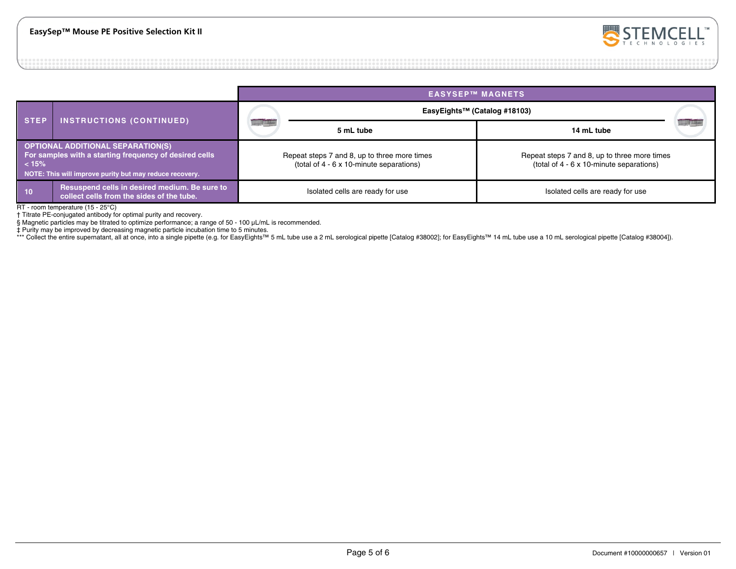

#### **EASYSEP™ MAGNETS STEP INSTRUCTIONS (CONTINUED) EasyEights™ (Catalog #18103) 5 mL tube 14 mL tube OPTIONAL ADDITIONAL SEPARATION(S) For samples with a starting frequency of desired cells < 15% NOTE: This will improve purity but may reduce recovery.** Repeat steps 7 and 8, up to three more times (total of 4 - 6 x 10-minute separations) Repeat steps 7 and 8, up to three more times (total of 4 - 6 x 10-minute separations) **10** Resuspend cells in desired medium. Be sure to collect cells are ready for use **Isolated cells are ready for use** Isolated cells are ready for use Isolated cells are ready for use Isolated cells are ready for use colle

RT - room temperature (15 - 25°C)

† Titrate PE-conjugated antibody for optimal purity and recovery.

§ Magnetic particles may be titrated to optimize performance; a range of 50 - 100 μL/mL is recommended.

‡ Purity may be improved by decreasing magnetic particle incubation time to 5 minutes.

\*\*\* Collect the entire supernatant, all at once, into a single pipette (e.g. for EasyEights™ 5 mL tube use a 2 mL serological pipette [Catalog #38002]; for EasyEights™ 14 mL tube use a 10 mL serological pipette [Catalog #3